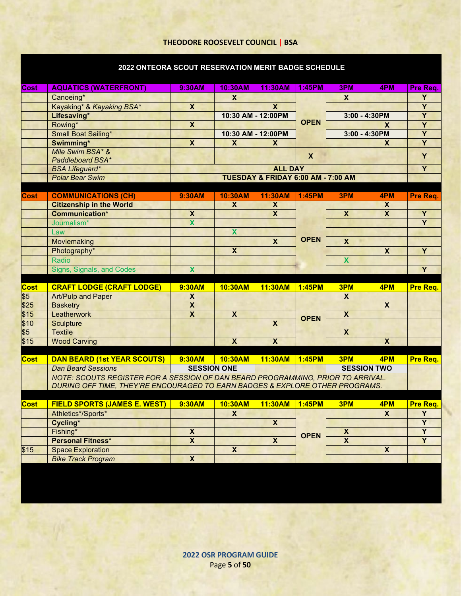## **THEODORE ROOSEVELT COUNCIL | BSA**

## **2022 ONTEORA SCOUT RESERVATION MERIT BADGE SCHEDULE**

| Cost            | <b>AQUATICS (WATERFRONT)</b>                                                    | 9:30AM                             | 10:30AM                 | 11:30AM                 | 1:45PM      | 3PM                     | 4PM                     | Pre Req.            |  |
|-----------------|---------------------------------------------------------------------------------|------------------------------------|-------------------------|-------------------------|-------------|-------------------------|-------------------------|---------------------|--|
|                 | Canoeing*                                                                       |                                    | $\mathbf{x}$            |                         |             | X                       |                         | Y                   |  |
|                 | Kayaking* & Kayaking BSA*                                                       | $\overline{\mathbf{x}}$            |                         | $\mathsf{X}$            |             |                         |                         | $\overline{Y}$      |  |
|                 | Lifesaving*                                                                     |                                    |                         | 10:30 AM - 12:00PM      | <b>OPEN</b> | $3:00 - 4:30PM$         |                         | $\overline{Y}$      |  |
|                 | Rowing*                                                                         | $\pmb{\mathsf{x}}$                 |                         |                         |             |                         | X                       | Y<br>$\overline{Y}$ |  |
|                 | Small Boat Sailing*                                                             |                                    |                         | 10:30 AM - 12:00PM      |             | 3:00 - 4:30PM           |                         |                     |  |
|                 | Swimming*                                                                       | $\overline{\mathbf{x}}$            | $\boldsymbol{x}$        | $\mathsf{x}$            |             |                         | $\mathsf{X}$            | $\overline{Y}$      |  |
|                 | Mile Swim BSA* &<br>Paddleboard BSA*                                            |                                    |                         |                         | X           |                         |                         | Y                   |  |
|                 | <b>BSA Lifeguard*</b>                                                           |                                    |                         | <b>ALL DAY</b>          |             |                         |                         | $\overline{Y}$      |  |
|                 | <b>Polar Bear Swim</b>                                                          | TUESDAY & FRIDAY 6:00 AM - 7:00 AM |                         |                         |             |                         |                         |                     |  |
|                 |                                                                                 |                                    |                         |                         |             |                         |                         |                     |  |
| Cost            | <b>COMMUNICATIONS (CH)</b>                                                      | 9:30AM                             | 10:30AM                 | 11:30AM                 | 1:45PM      | 3PM                     | 4PM                     | Pre Req.            |  |
|                 | <b>Citizenship in the World</b>                                                 |                                    | $\boldsymbol{X}$        | $\pmb{\mathsf{x}}$      |             |                         | X                       |                     |  |
|                 | <b>Communication*</b>                                                           | X                                  |                         | $\overline{\mathbf{x}}$ |             | X                       | $\mathbf x$             | Y                   |  |
|                 | Journalism*                                                                     | $\mathbf x$                        |                         |                         |             |                         |                         | Y                   |  |
|                 | Law                                                                             |                                    | $\mathbf x$             |                         |             |                         |                         |                     |  |
|                 | Moviemaking                                                                     |                                    |                         | $\mathbf x$             | <b>OPEN</b> | $\mathbf x$             |                         |                     |  |
|                 | Photography*                                                                    |                                    | $\overline{\mathbf{x}}$ |                         |             |                         | $\overline{\mathbf{X}}$ | Y                   |  |
|                 | Radio                                                                           |                                    |                         |                         |             | <b>X</b>                |                         |                     |  |
|                 | Signs, Signals, and Codes                                                       | $\overline{\mathbf{X}}$            |                         |                         |             |                         |                         | $\overline{Y}$      |  |
|                 |                                                                                 |                                    |                         |                         |             |                         |                         |                     |  |
| <b>Cost</b>     | <b>CRAFT LODGE (CRAFT LODGE)</b>                                                | 9:30AM                             | 10:30AM                 | 11:30AM                 | 1:45PM      | 3PM                     | 4PM                     | Pre Req.            |  |
| $\overline{$5}$ | <b>Art/Pulp and Paper</b>                                                       | $\mathsf{X}$                       |                         |                         |             | X                       |                         |                     |  |
| \$25            | <b>Basketry</b>                                                                 | $\overline{\mathbf{x}}$            |                         |                         |             |                         | $\overline{\mathbf{X}}$ |                     |  |
| \$15            | Leatherwork                                                                     | $\overline{\mathbf{x}}$            | $\overline{\mathbf{x}}$ |                         | <b>OPEN</b> | $\overline{\mathbf{X}}$ |                         |                     |  |
| \$10            | <b>Sculpture</b>                                                                |                                    |                         | $\overline{\mathbf{x}}$ |             |                         |                         |                     |  |
| $\overline{$}5$ | <b>Textile</b>                                                                  |                                    |                         |                         |             | $\overline{\mathbf{x}}$ |                         |                     |  |
| \$15            | <b>Wood Carving</b>                                                             |                                    | $\overline{\mathbf{X}}$ | $\overline{\mathbf{X}}$ |             |                         | $\overline{\mathbf{X}}$ |                     |  |
|                 |                                                                                 |                                    |                         |                         |             |                         |                         |                     |  |
| <b>Cost</b>     | <b>DAN BEARD (1st YEAR SCOUTS)</b>                                              | 9:30AM                             | 10:30AM                 | 11:30AM                 | 1:45PM      | 3PM                     | 4PM                     | Pre Req.            |  |
|                 | <b>SESSION ONE</b><br><b>SESSION TWO</b><br><b>Dan Beard Sessions</b>           |                                    |                         |                         |             |                         |                         |                     |  |
|                 | NOTE: SCOUTS REGISTER FOR A SESSION OF DAN BEARD PROGRAMMING, PRIOR TO ARRIVAL. |                                    |                         |                         |             |                         |                         |                     |  |
|                 | DURING OFF TIME, THEY'RE ENCOURAGED TO EARN BADGES & EXPLORE OTHER PROGRAMS.    |                                    |                         |                         |             |                         |                         |                     |  |
|                 |                                                                                 |                                    |                         |                         |             |                         |                         |                     |  |
| Cost            | <b>FIELD SPORTS (JAMES E. WEST)</b>                                             | 9:30AM                             | 10:30AM                 | 11:30AM                 | 1:45PM      | 3PM                     | 4PM                     | Pre Req.            |  |
|                 | Athletics*/Sports*                                                              |                                    | $\boldsymbol{x}$        |                         |             |                         | $\mathsf{X}$            | Y                   |  |
|                 | Cycling*                                                                        |                                    |                         | $\overline{\mathbf{x}}$ |             |                         |                         | $\overline{Y}$      |  |
|                 | Fishing*                                                                        | $\overline{\mathbf{X}}$            |                         |                         | <b>OPEN</b> | $\pmb{\mathsf{x}}$      |                         | $\overline{Y}$      |  |
|                 | <b>Personal Fitness*</b>                                                        | $\overline{\mathbf{X}}$            |                         | $\overline{\mathbf{X}}$ |             | $\overline{\mathbf{X}}$ |                         | $\overline{Y}$      |  |
| \$15            | <b>Space Exploration</b>                                                        |                                    | $\overline{\mathbf{x}}$ |                         |             |                         | $\overline{\mathbf{x}}$ |                     |  |
|                 | <b>Bike Track Program</b>                                                       | $\overline{\mathbf{x}}$            |                         |                         |             |                         |                         |                     |  |

**2022 OSR PROGRAM GUIDE** Page **5** of **50**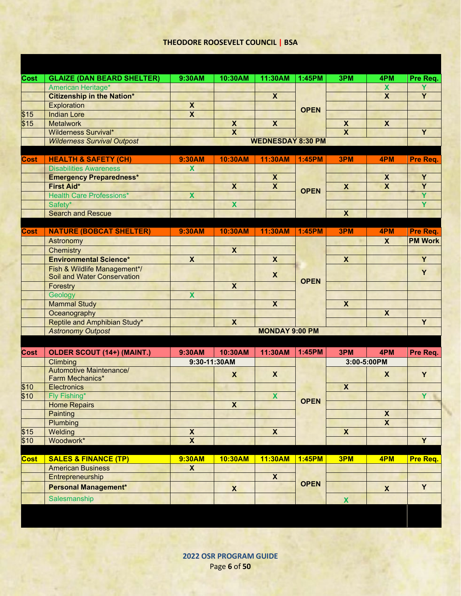## **THEODORE ROOSEVELT COUNCIL | BSA**

| <b>Cost</b> | <b>GLAIZE (DAN BEARD SHELTER)</b>                                  | 9:30AM                    | 10:30AM                 | 11:30AM                   | 1:45PM        | 3PM                     | 4PM                       |                |
|-------------|--------------------------------------------------------------------|---------------------------|-------------------------|---------------------------|---------------|-------------------------|---------------------------|----------------|
|             |                                                                    |                           |                         |                           |               |                         | $\boldsymbol{\mathsf{X}}$ | Pre Req.<br>Y  |
|             | American Heritage*<br><b>Citizenship in the Nation*</b>            |                           |                         | $\overline{\mathbf{X}}$   |               |                         | $\overline{\mathbf{x}}$   | $\overline{Y}$ |
|             |                                                                    | $\boldsymbol{x}$          |                         |                           |               |                         |                           |                |
| \$15        | Exploration<br><b>Indian Lore</b>                                  | $\overline{\mathbf{x}}$   |                         |                           | <b>OPEN</b>   |                         |                           |                |
| \$15        | <b>Metalwork</b>                                                   |                           | $\pmb{\mathsf{X}}$      | $\overline{\mathbf{X}}$   |               | $\overline{\mathbf{X}}$ | $\overline{\mathbf{X}}$   |                |
|             | <b>Wilderness Survival*</b>                                        |                           | $\overline{\mathbf{X}}$ |                           |               | $\overline{\mathbf{x}}$ |                           | $\overline{Y}$ |
|             | <b>Wilderness Survival Outpost</b>                                 |                           |                         | <b>WEDNESDAY 8:30 PM</b>  |               |                         |                           |                |
|             |                                                                    |                           |                         |                           |               |                         |                           |                |
| Cost        | <b>HEALTH &amp; SAFETY (CH)</b>                                    | 9:30AM                    | 10:30AM                 | 11:30AM                   | <b>1:45PM</b> | 3PM                     | 4PM                       | Pre Req.       |
|             | <b>Disabilities Awareness</b>                                      | $\boldsymbol{\mathsf{x}}$ |                         |                           |               |                         |                           |                |
|             | <b>Emergency Preparedness*</b>                                     |                           |                         | $\boldsymbol{\mathsf{X}}$ |               |                         | $\boldsymbol{X}$          | Y              |
|             | <b>First Aid*</b>                                                  |                           | $\boldsymbol{x}$        | $\overline{\mathbf{X}}$   |               | $\boldsymbol{x}$        | $\overline{\mathbf{x}}$   | $\overline{Y}$ |
|             | <b>Health Care Professions*</b>                                    | $\mathbf x$               |                         |                           | <b>OPEN</b>   |                         |                           | Ÿ              |
|             | Safety*                                                            |                           | $\overline{\mathbf{x}}$ |                           |               |                         |                           | Ÿ              |
|             | <b>Search and Rescue</b>                                           |                           |                         |                           |               | $\overline{\mathbf{X}}$ |                           |                |
|             |                                                                    |                           |                         |                           |               |                         |                           |                |
| <b>Cost</b> | <b>NATURE (BOBCAT SHELTER)</b>                                     | 9:30AM                    | 10:30AM                 | 11:30AM                   | 1:45PM        | 3PM                     | 4PM                       | Pre Req.       |
|             | Astronomy                                                          |                           |                         |                           |               |                         | $\mathsf{x}$              | <b>PM Work</b> |
|             | Chemistry                                                          |                           | $\mathbf x$             |                           |               |                         |                           |                |
|             | <b>Environmental Science*</b>                                      | $\boldsymbol{\mathsf{X}}$ |                         | $\boldsymbol{\mathsf{x}}$ |               | $\boldsymbol{x}$        |                           | Y              |
|             | Fish & Wildlife Management*/<br><b>Soil and Water Conservation</b> |                           |                         | $\boldsymbol{x}$          |               |                         |                           | Y              |
|             | Forestry                                                           |                           | $\overline{\mathbf{X}}$ |                           | <b>OPEN</b>   |                         |                           |                |
|             | Geology                                                            | $\overline{\mathbf{X}}$   |                         |                           |               |                         |                           |                |
|             | <b>Mammal Study</b>                                                |                           |                         | $\overline{\mathbf{x}}$   |               | $\overline{\mathbf{X}}$ |                           |                |
|             | Oceanography                                                       |                           |                         |                           |               |                         | $\boldsymbol{x}$          |                |
|             | Reptile and Amphibian Study*                                       |                           | $\overline{\mathbf{X}}$ |                           |               |                         |                           | Y              |
|             | <b>Astronomy Outpost</b>                                           |                           |                         | <b>MONDAY 9:00 PM</b>     |               |                         |                           |                |
|             |                                                                    |                           |                         |                           |               |                         |                           |                |
| <b>Cost</b> | OLDER SCOUT (14+) (MAINT.)                                         | 9:30AM                    | 10:30AM                 | 11:30AM                   | 1:45PM        | 3PM                     | 4PM                       | Pre Req.       |
|             | Climbing                                                           | 9:30-11:30AM              |                         |                           |               |                         | 3:00-5:00PM               |                |
|             | <b>Automotive Maintenance/</b><br>Farm Mechanics*                  |                           | $\boldsymbol{X}$        | $\boldsymbol{x}$          |               |                         | $\boldsymbol{\mathsf{X}}$ | Y              |
| \$10        | Electronics                                                        |                           |                         |                           |               | $\overline{\mathbf{X}}$ |                           |                |
| \$10        | Fly Fishing*                                                       |                           |                         | $\boldsymbol{\mathsf{x}}$ |               |                         |                           | Y              |
|             | <b>Home Repairs</b>                                                |                           | X                       |                           | <b>OPEN</b>   |                         |                           |                |
|             | Painting                                                           |                           |                         |                           |               |                         | X                         |                |
|             | <b>Plumbing</b>                                                    |                           |                         |                           |               |                         | $\mathsf{X}$              |                |
| \$15        | Welding                                                            | $\pmb{\mathsf{X}}$        |                         | $\mathsf{X}$              |               | $\mathsf{X}$            |                           |                |
| \$10        | Woodwork*                                                          | $\overline{\mathbf{X}}$   |                         |                           |               |                         |                           | Y              |
|             |                                                                    |                           |                         |                           |               |                         |                           |                |
| <b>Cost</b> | <b>SALES &amp; FINANCE (TP)</b>                                    | 9:30AM                    | 10:30AM                 | 11:30AM                   | 1:45PM        | 3PM                     | 4PM                       | Pre Req.       |
|             | <b>American Business</b>                                           | $\pmb{\mathsf{X}}$        |                         |                           |               |                         |                           |                |
|             | Entrepreneurship                                                   |                           |                         | $\boldsymbol{X}$          |               |                         |                           |                |
|             | <b>Personal Management*</b>                                        |                           | $\boldsymbol{x}$        |                           | <b>OPEN</b>   |                         | $\mathbf{X}$              | Y              |
|             | Salesmanship                                                       |                           |                         |                           |               | $\mathbf x$             |                           |                |
|             |                                                                    |                           |                         |                           |               |                         |                           |                |

**2022 OSR PROGRAM GUIDE** Page **6** of **50**